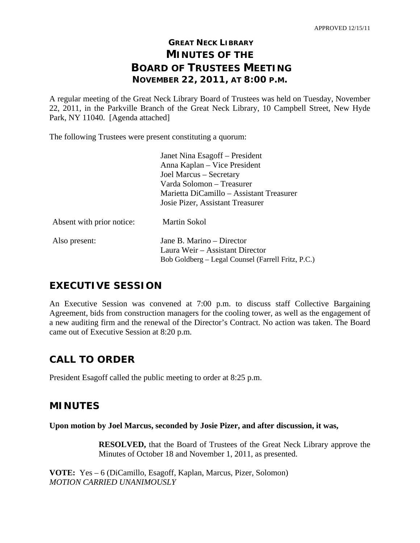# **GREAT NECK LIBRARY MINUTES OF THE BOARD OF TRUSTEES MEETING NOVEMBER 22, 2011, AT 8:00 P.M.**

A regular meeting of the Great Neck Library Board of Trustees was held on Tuesday, November 22, 2011, in the Parkville Branch of the Great Neck Library, 10 Campbell Street, New Hyde Park, NY 11040. [Agenda attached]

The following Trustees were present constituting a quorum:

|                           | Janet Nina Esagoff - President<br>Anna Kaplan – Vice President<br>Joel Marcus - Secretary<br>Varda Solomon - Treasurer<br>Marietta DiCamillo – Assistant Treasurer |
|---------------------------|--------------------------------------------------------------------------------------------------------------------------------------------------------------------|
| Absent with prior notice: | Josie Pizer, Assistant Treasurer<br>Martin Sokol                                                                                                                   |
| Also present:             | Jane B. Marino – Director                                                                                                                                          |
|                           | Laura Weir – Assistant Director<br>Bob Goldberg – Legal Counsel (Farrell Fritz, P.C.)                                                                              |

# **EXECUTIVE SESSION**

An Executive Session was convened at 7:00 p.m. to discuss staff Collective Bargaining Agreement, bids from construction managers for the cooling tower, as well as the engagement of a new auditing firm and the renewal of the Director's Contract. No action was taken. The Board came out of Executive Session at 8:20 p.m.

# **CALL TO ORDER**

President Esagoff called the public meeting to order at 8:25 p.m.

## **MINUTES**

### **Upon motion by Joel Marcus, seconded by Josie Pizer, and after discussion, it was,**

**RESOLVED,** that the Board of Trustees of the Great Neck Library approve the Minutes of October 18 and November 1, 2011, as presented.

**VOTE:** Yes – 6 (DiCamillo, Esagoff, Kaplan, Marcus, Pizer, Solomon) *MOTION CARRIED UNANIMOUSLY*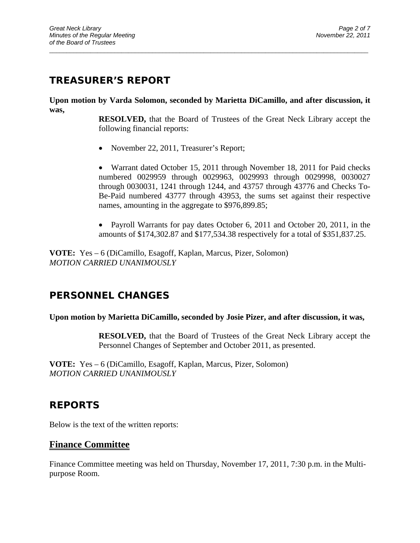# **TREASURER'S REPORT**

**Upon motion by Varda Solomon, seconded by Marietta DiCamillo, and after discussion, it was,** 

 $\overline{a}$  , and the contribution of the contribution of the contribution of the contribution of the contribution of the contribution of the contribution of the contribution of the contribution of the contribution of the co

**RESOLVED,** that the Board of Trustees of the Great Neck Library accept the following financial reports:

• November 22, 2011, Treasurer's Report;

• Warrant dated October 15, 2011 through November 18, 2011 for Paid checks numbered 0029959 through 0029963, 0029993 through 0029998, 0030027 through 0030031, 1241 through 1244, and 43757 through 43776 and Checks To-Be-Paid numbered 43777 through 43953, the sums set against their respective names, amounting in the aggregate to \$976,899.85;

• Payroll Warrants for pay dates October 6, 2011 and October 20, 2011, in the amounts of \$174,302.87 and \$177,534.38 respectively for a total of \$351,837.25.

**VOTE:** Yes – 6 (DiCamillo, Esagoff, Kaplan, Marcus, Pizer, Solomon) *MOTION CARRIED UNANIMOUSLY* 

# **PERSONNEL CHANGES**

### **Upon motion by Marietta DiCamillo, seconded by Josie Pizer, and after discussion, it was,**

**RESOLVED,** that the Board of Trustees of the Great Neck Library accept the Personnel Changes of September and October 2011, as presented.

**VOTE:** Yes – 6 (DiCamillo, Esagoff, Kaplan, Marcus, Pizer, Solomon) *MOTION CARRIED UNANIMOUSLY* 

## **REPORTS**

Below is the text of the written reports:

### **Finance Committee**

Finance Committee meeting was held on Thursday, November 17, 2011, 7:30 p.m. in the Multipurpose Room.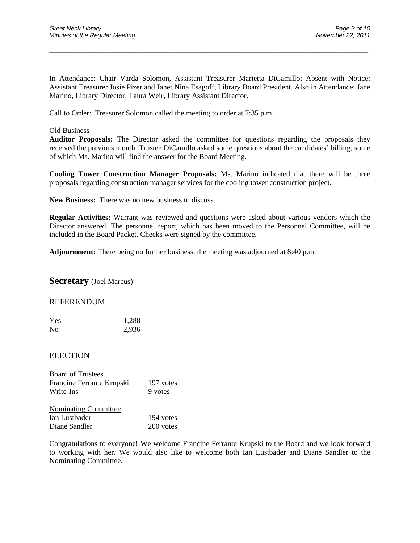In Attendance: Chair Varda Solomon, Assistant Treasurer Marietta DiCamillo; Absent with Notice: Assistant Treasurer Josie Pizer and Janet Nina Esagoff, Library Board President. Also in Attendance: Jane Marino, Library Director; Laura Weir, Library Assistant Director.

 $\overline{a}$  , and the contribution of the contribution of the contribution of the contribution of the contribution of the contribution of the contribution of the contribution of the contribution of the contribution of the co

Call to Order:Treasurer Solomon called the meeting to order at 7:35 p.m.

#### Old Business

**Auditor Proposals:** The Director asked the committee for questions regarding the proposals they received the previous month. Trustee DiCamillo asked some questions about the candidates' billing, some of which Ms. Marino will find the answer for the Board Meeting.

**Cooling Tower Construction Manager Proposals:** Ms. Marino indicated that there will be three proposals regarding construction manager services for the cooling tower construction project.

**New Business:** There was no new business to discuss.

**Regular Activities:** Warrant was reviewed and questions were asked about various vendors which the Director answered. The personnel report, which has been moved to the Personnel Committee, will be included in the Board Packet. Checks were signed by the committee.

**Adjournment:** There being no further business, the meeting was adjourned at 8:40 p.m.

**Secretary** (Joel Marcus)

#### REFERENDUM

| Yes | 1,288 |
|-----|-------|
| No  | 2,936 |

#### ELECTION

| <b>Board of Trustees</b>    |           |
|-----------------------------|-----------|
| Francine Ferrante Krupski   | 197 votes |
| Write-Ins                   | 9 votes   |
| <b>Nominating Committee</b> |           |

| 194 votes |
|-----------|
| 200 votes |
|           |

Congratulations to everyone! We welcome Francine Ferrante Krupski to the Board and we look forward to working with her. We would also like to welcome both Ian Lustbader and Diane Sandler to the Nominating Committee.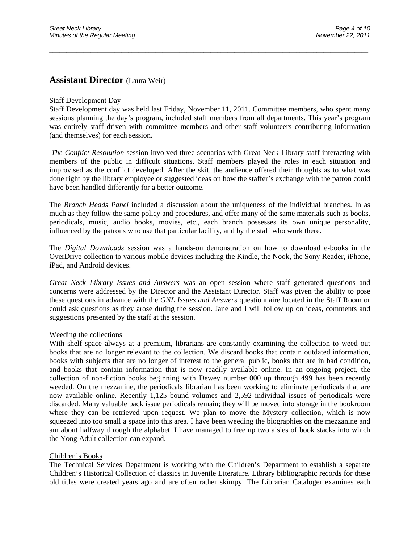### **Assistant Director** (Laura Weir)

#### Staff Development Day

Staff Development day was held last Friday, November 11, 2011. Committee members, who spent many sessions planning the day's program, included staff members from all departments. This year's program was entirely staff driven with committee members and other staff volunteers contributing information (and themselves) for each session.

 $\overline{a}$  , and the contribution of the contribution of the contribution of the contribution of the contribution of the contribution of the contribution of the contribution of the contribution of the contribution of the co

*The Conflict Resolution* session involved three scenarios with Great Neck Library staff interacting with members of the public in difficult situations. Staff members played the roles in each situation and improvised as the conflict developed. After the skit, the audience offered their thoughts as to what was done right by the library employee or suggested ideas on how the staffer's exchange with the patron could have been handled differently for a better outcome.

The *Branch Heads Panel* included a discussion about the uniqueness of the individual branches. In as much as they follow the same policy and procedures, and offer many of the same materials such as books, periodicals, music, audio books, movies, etc., each branch possesses its own unique personality, influenced by the patrons who use that particular facility, and by the staff who work there.

The *Digital Downloads* session was a hands-on demonstration on how to download e-books in the OverDrive collection to various mobile devices including the Kindle, the Nook, the Sony Reader, iPhone, iPad, and Android devices.

*Great Neck Library Issues and Answers* was an open session where staff generated questions and concerns were addressed by the Director and the Assistant Director. Staff was given the ability to pose these questions in advance with the *GNL Issues and Answers* questionnaire located in the Staff Room or could ask questions as they arose during the session. Jane and I will follow up on ideas, comments and suggestions presented by the staff at the session.

#### Weeding the collections

With shelf space always at a premium, librarians are constantly examining the collection to weed out books that are no longer relevant to the collection. We discard books that contain outdated information, books with subjects that are no longer of interest to the general public, books that are in bad condition, and books that contain information that is now readily available online. In an ongoing project, the collection of non-fiction books beginning with Dewey number 000 up through 499 has been recently weeded. On the mezzanine, the periodicals librarian has been working to eliminate periodicals that are now available online. Recently 1,125 bound volumes and 2,592 individual issues of periodicals were discarded. Many valuable back issue periodicals remain; they will be moved into storage in the bookroom where they can be retrieved upon request. We plan to move the Mystery collection, which is now squeezed into too small a space into this area. I have been weeding the biographies on the mezzanine and am about halfway through the alphabet. I have managed to free up two aisles of book stacks into which the Yong Adult collection can expand.

#### Children's Books

The Technical Services Department is working with the Children's Department to establish a separate Children's Historical Collection of classics in Juvenile Literature. Library bibliographic records for these old titles were created years ago and are often rather skimpy. The Librarian Cataloger examines each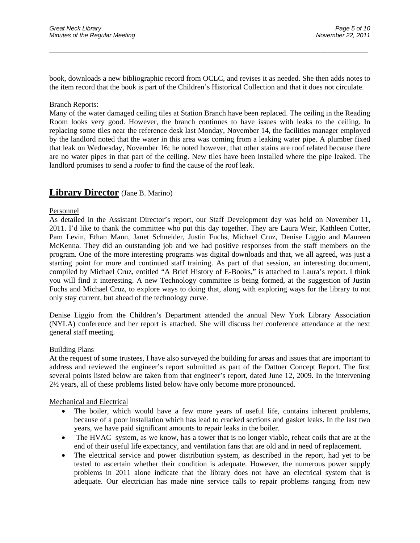book, downloads a new bibliographic record from OCLC, and revises it as needed. She then adds notes to the item record that the book is part of the Children's Historical Collection and that it does not circulate.

 $\overline{a}$  , and the contribution of the contribution of the contribution of the contribution of the contribution of the contribution of the contribution of the contribution of the contribution of the contribution of the co

#### Branch Reports:

Many of the water damaged ceiling tiles at Station Branch have been replaced. The ceiling in the Reading Room looks very good. However, the branch continues to have issues with leaks to the ceiling. In replacing some tiles near the reference desk last Monday, November 14, the facilities manager employed by the landlord noted that the water in this area was coming from a leaking water pipe. A plumber fixed that leak on Wednesday, November 16; he noted however, that other stains are roof related because there are no water pipes in that part of the ceiling. New tiles have been installed where the pipe leaked. The landlord promises to send a roofer to find the cause of the roof leak.

### **Library Director** (Jane B. Marino)

#### Personnel

As detailed in the Assistant Director's report, our Staff Development day was held on November 11, 2011. I'd like to thank the committee who put this day together. They are Laura Weir, Kathleen Cotter, Pam Levin, Ethan Mann, Janet Schneider, Justin Fuchs, Michael Cruz, Denise Liggio and Maureen McKenna. They did an outstanding job and we had positive responses from the staff members on the program. One of the more interesting programs was digital downloads and that, we all agreed, was just a starting point for more and continued staff training. As part of that session, an interesting document, compiled by Michael Cruz, entitled "A Brief History of E-Books," is attached to Laura's report. I think you will find it interesting. A new Technology committee is being formed, at the suggestion of Justin Fuchs and Michael Cruz, to explore ways to doing that, along with exploring ways for the library to not only stay current, but ahead of the technology curve.

Denise Liggio from the Children's Department attended the annual New York Library Association (NYLA) conference and her report is attached. She will discuss her conference attendance at the next general staff meeting.

#### Building Plans

At the request of some trustees, I have also surveyed the building for areas and issues that are important to address and reviewed the engineer's report submitted as part of the Dattner Concept Report. The first several points listed below are taken from that engineer's report, dated June 12, 2009. In the intervening 2½ years, all of these problems listed below have only become more pronounced.

#### Mechanical and Electrical

- The boiler, which would have a few more years of useful life, contains inherent problems, because of a poor installation which has lead to cracked sections and gasket leaks. In the last two years, we have paid significant amounts to repair leaks in the boiler.
- The HVAC system, as we know, has a tower that is no longer viable, reheat coils that are at the end of their useful life expectancy, and ventilation fans that are old and in need of replacement.
- The electrical service and power distribution system, as described in the report, had yet to be tested to ascertain whether their condition is adequate. However, the numerous power supply problems in 2011 alone indicate that the library does not have an electrical system that is adequate. Our electrician has made nine service calls to repair problems ranging from new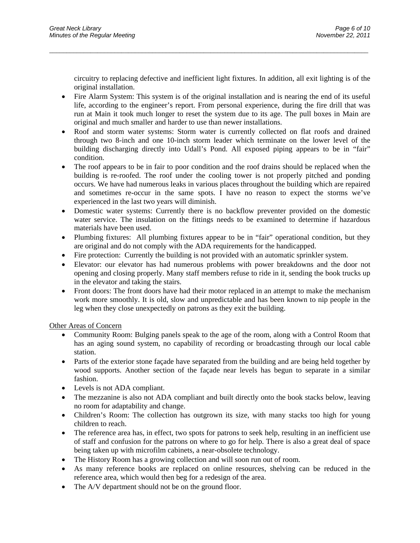circuitry to replacing defective and inefficient light fixtures. In addition, all exit lighting is of the original installation.

 Fire Alarm System: This system is of the original installation and is nearing the end of its useful life, according to the engineer's report. From personal experience, during the fire drill that was run at Main it took much longer to reset the system due to its age. The pull boxes in Main are original and much smaller and harder to use than newer installations.

 $\overline{a}$  , and the contribution of the contribution of the contribution of the contribution of the contribution of the contribution of the contribution of the contribution of the contribution of the contribution of the co

- Roof and storm water systems: Storm water is currently collected on flat roofs and drained through two 8-inch and one 10-inch storm leader which terminate on the lower level of the building discharging directly into Udall's Pond. All exposed piping appears to be in "fair" condition.
- The roof appears to be in fair to poor condition and the roof drains should be replaced when the building is re-roofed. The roof under the cooling tower is not properly pitched and ponding occurs. We have had numerous leaks in various places throughout the building which are repaired and sometimes re-occur in the same spots. I have no reason to expect the storms we've experienced in the last two years will diminish.
- Domestic water systems: Currently there is no backflow preventer provided on the domestic water service. The insulation on the fittings needs to be examined to determine if hazardous materials have been used.
- Plumbing fixtures: All plumbing fixtures appear to be in "fair" operational condition, but they are original and do not comply with the ADA requirements for the handicapped.
- Fire protection: Currently the building is not provided with an automatic sprinkler system.
- Elevator: our elevator has had numerous problems with power breakdowns and the door not opening and closing properly. Many staff members refuse to ride in it, sending the book trucks up in the elevator and taking the stairs.
- Front doors: The front doors have had their motor replaced in an attempt to make the mechanism work more smoothly. It is old, slow and unpredictable and has been known to nip people in the leg when they close unexpectedly on patrons as they exit the building.

Other Areas of Concern

- Community Room: Bulging panels speak to the age of the room, along with a Control Room that has an aging sound system, no capability of recording or broadcasting through our local cable station.
- Parts of the exterior stone façade have separated from the building and are being held together by wood supports. Another section of the façade near levels has begun to separate in a similar fashion.
- Levels is not ADA compliant.
- The mezzanine is also not ADA compliant and built directly onto the book stacks below, leaving no room for adaptability and change.
- Children's Room: The collection has outgrown its size, with many stacks too high for young children to reach.
- The reference area has, in effect, two spots for patrons to seek help, resulting in an inefficient use of staff and confusion for the patrons on where to go for help. There is also a great deal of space being taken up with microfilm cabinets, a near-obsolete technology.
- The History Room has a growing collection and will soon run out of room.
- As many reference books are replaced on online resources, shelving can be reduced in the reference area, which would then beg for a redesign of the area.
- The A/V department should not be on the ground floor.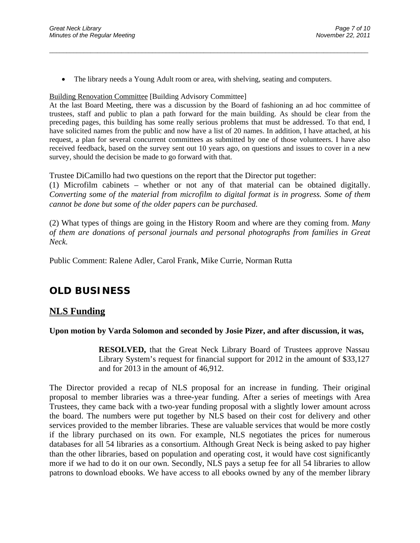The library needs a Young Adult room or area, with shelving, seating and computers.

Building Renovation Committee [Building Advisory Committee]

At the last Board Meeting, there was a discussion by the Board of fashioning an ad hoc committee of trustees, staff and public to plan a path forward for the main building. As should be clear from the preceding pages, this building has some really serious problems that must be addressed. To that end, I have solicited names from the public and now have a list of 20 names. In addition, I have attached, at his request, a plan for several concurrent committees as submitted by one of those volunteers. I have also received feedback, based on the survey sent out 10 years ago, on questions and issues to cover in a new survey, should the decision be made to go forward with that.

 $\overline{a}$  , and the contribution of the contribution of the contribution of the contribution of the contribution of the contribution of the contribution of the contribution of the contribution of the contribution of the co

Trustee DiCamillo had two questions on the report that the Director put together:

(1) Microfilm cabinets – whether or not any of that material can be obtained digitally. *Converting some of the material from microfilm to digital format is in progress. Some of them cannot be done but some of the older papers can be purchased.* 

(2) What types of things are going in the History Room and where are they coming from. *Many of them are donations of personal journals and personal photographs from families in Great Neck.*

Public Comment: Ralene Adler, Carol Frank, Mike Currie, Norman Rutta

# **OLD BUSINESS**

### **NLS Funding**

### **Upon motion by Varda Solomon and seconded by Josie Pizer, and after discussion, it was,**

**RESOLVED,** that the Great Neck Library Board of Trustees approve Nassau Library System's request for financial support for 2012 in the amount of \$33,127 and for 2013 in the amount of 46,912.

The Director provided a recap of NLS proposal for an increase in funding. Their original proposal to member libraries was a three-year funding. After a series of meetings with Area Trustees, they came back with a two-year funding proposal with a slightly lower amount across the board. The numbers were put together by NLS based on their cost for delivery and other services provided to the member libraries. These are valuable services that would be more costly if the library purchased on its own. For example, NLS negotiates the prices for numerous databases for all 54 libraries as a consortium. Although Great Neck is being asked to pay higher than the other libraries, based on population and operating cost, it would have cost significantly more if we had to do it on our own. Secondly, NLS pays a setup fee for all 54 libraries to allow patrons to download ebooks. We have access to all ebooks owned by any of the member library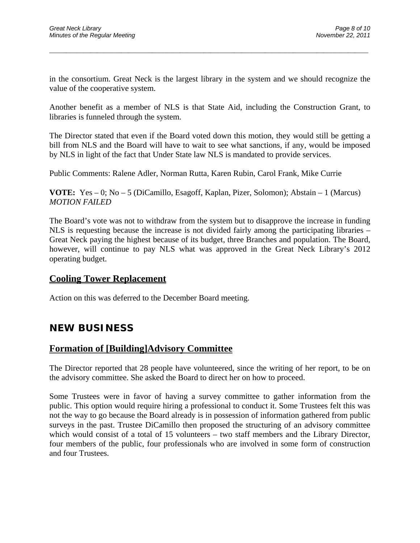in the consortium. Great Neck is the largest library in the system and we should recognize the value of the cooperative system.

 $\overline{a}$  , and the contribution of the contribution of the contribution of the contribution of the contribution of the contribution of the contribution of the contribution of the contribution of the contribution of the co

Another benefit as a member of NLS is that State Aid, including the Construction Grant, to libraries is funneled through the system.

The Director stated that even if the Board voted down this motion, they would still be getting a bill from NLS and the Board will have to wait to see what sanctions, if any, would be imposed by NLS in light of the fact that Under State law NLS is mandated to provide services.

Public Comments: Ralene Adler, Norman Rutta, Karen Rubin, Carol Frank, Mike Currie

**VOTE:** Yes – 0; No – 5 (DiCamillo, Esagoff, Kaplan, Pizer, Solomon); Abstain – 1 (Marcus) *MOTION FAILED* 

The Board's vote was not to withdraw from the system but to disapprove the increase in funding NLS is requesting because the increase is not divided fairly among the participating libraries – Great Neck paying the highest because of its budget, three Branches and population. The Board, however, will continue to pay NLS what was approved in the Great Neck Library's 2012 operating budget.

### **Cooling Tower Replacement**

Action on this was deferred to the December Board meeting.

## **NEW BUSINESS**

### **Formation of [Building]Advisory Committee**

The Director reported that 28 people have volunteered, since the writing of her report, to be on the advisory committee. She asked the Board to direct her on how to proceed.

Some Trustees were in favor of having a survey committee to gather information from the public. This option would require hiring a professional to conduct it. Some Trustees felt this was not the way to go because the Board already is in possession of information gathered from public surveys in the past. Trustee DiCamillo then proposed the structuring of an advisory committee which would consist of a total of 15 volunteers – two staff members and the Library Director, four members of the public, four professionals who are involved in some form of construction and four Trustees.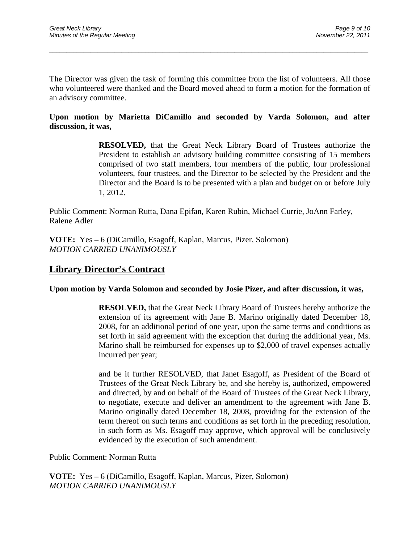The Director was given the task of forming this committee from the list of volunteers. All those who volunteered were thanked and the Board moved ahead to form a motion for the formation of an advisory committee.

 $\overline{a}$  , and the contribution of the contribution of the contribution of the contribution of the contribution of the contribution of the contribution of the contribution of the contribution of the contribution of the co

### **Upon motion by Marietta DiCamillo and seconded by Varda Solomon, and after discussion, it was,**

**RESOLVED,** that the Great Neck Library Board of Trustees authorize the President to establish an advisory building committee consisting of 15 members comprised of two staff members, four members of the public, four professional volunteers, four trustees, and the Director to be selected by the President and the Director and the Board is to be presented with a plan and budget on or before July 1, 2012.

Public Comment: Norman Rutta, Dana Epifan, Karen Rubin, Michael Currie, JoAnn Farley, Ralene Adler

**VOTE:** Yes **–** 6 (DiCamillo, Esagoff, Kaplan, Marcus, Pizer, Solomon) *MOTION CARRIED UNANIMOUSLY* 

## **Library Director's Contract**

### **Upon motion by Varda Solomon and seconded by Josie Pizer, and after discussion, it was,**

**RESOLVED,** that the Great Neck Library Board of Trustees hereby authorize the extension of its agreement with Jane B. Marino originally dated December 18, 2008, for an additional period of one year, upon the same terms and conditions as set forth in said agreement with the exception that during the additional year, Ms. Marino shall be reimbursed for expenses up to \$2,000 of travel expenses actually incurred per year;

and be it further RESOLVED, that Janet Esagoff, as President of the Board of Trustees of the Great Neck Library be, and she hereby is, authorized, empowered and directed, by and on behalf of the Board of Trustees of the Great Neck Library, to negotiate, execute and deliver an amendment to the agreement with Jane B. Marino originally dated December 18, 2008, providing for the extension of the term thereof on such terms and conditions as set forth in the preceding resolution, in such form as Ms. Esagoff may approve, which approval will be conclusively evidenced by the execution of such amendment.

Public Comment: Norman Rutta

**VOTE:** Yes **–** 6 (DiCamillo, Esagoff, Kaplan, Marcus, Pizer, Solomon) *MOTION CARRIED UNANIMOUSLY*